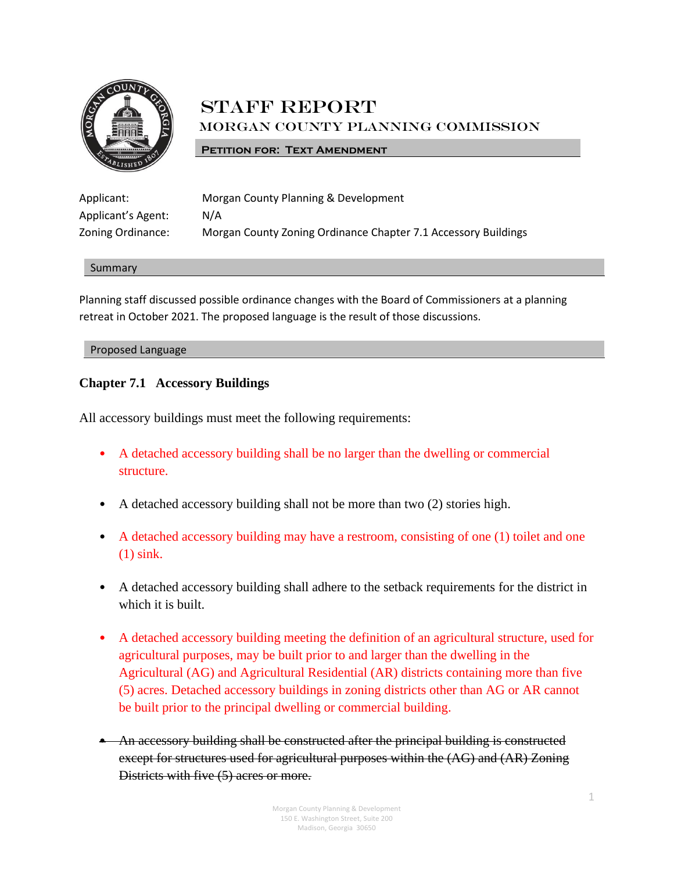

# **STAFF REPORT** Morgan County Planning Commission

## **PETITION FOR: TEXT AMENDMENT**

| Applicant:         | Morgan County Planning & Development                           |
|--------------------|----------------------------------------------------------------|
| Applicant's Agent: | N/A                                                            |
| Zoning Ordinance:  | Morgan County Zoning Ordinance Chapter 7.1 Accessory Buildings |

#### Summary

Planning staff discussed possible ordinance changes with the Board of Commissioners at a planning retreat in October 2021. The proposed language is the result of those discussions.

#### Proposed Language

# **Chapter 7.1 Accessory Buildings**

All accessory buildings must meet the following requirements:

- A detached accessory building shall be no larger than the dwelling or commercial structure.
- A detached accessory building shall not be more than two (2) stories high.
- A detached accessory building may have a restroom, consisting of one (1) toilet and one (1) sink.
- A detached accessory building shall adhere to the setback requirements for the district in which it is built.
- A detached accessory building meeting the definition of an agricultural structure, used for agricultural purposes, may be built prior to and larger than the dwelling in the Agricultural (AG) and Agricultural Residential (AR) districts containing more than five (5) acres. Detached accessory buildings in zoning districts other than AG or AR cannot be built prior to the principal dwelling or commercial building.
- An accessory building shall be constructed after the principal building is constructed except for structures used for agricultural purposes within the (AG) and (AR) Zoning Districts with five (5) acres or more.